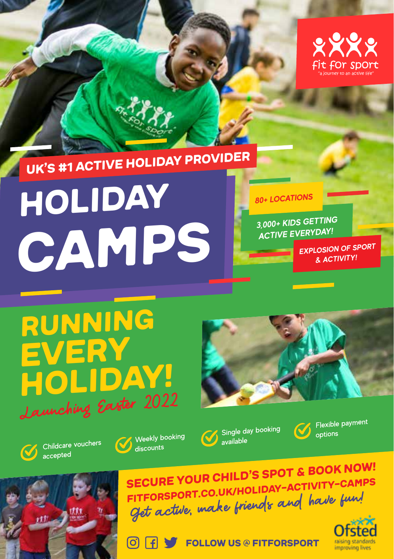

### UK'S #1 ACTIVE HOLIDAY PROVIDER

# Holiday **CAMPS**

#### **80+ LOCATIONS**

**3,000+ KIDS GETTING ACTIVE EVERYDAY!**

> **EXPLOSION OF SPORT & ACTIVITY!**

### RUNNING every holiday! Launching Easter 2022



Childcare vouchers accepted



 $|\mathbf{O}|$ 

∣ fl



Single day booking



Flexible paymen<sup>t</sup> options



Get active, make friends and have fun! FITFoRSPORT.co.uk/holiday-activity-camps SECURE YOUR CHILD'S SPOT & BOOK NOW!

FOLLOW US @ fitfoRsport